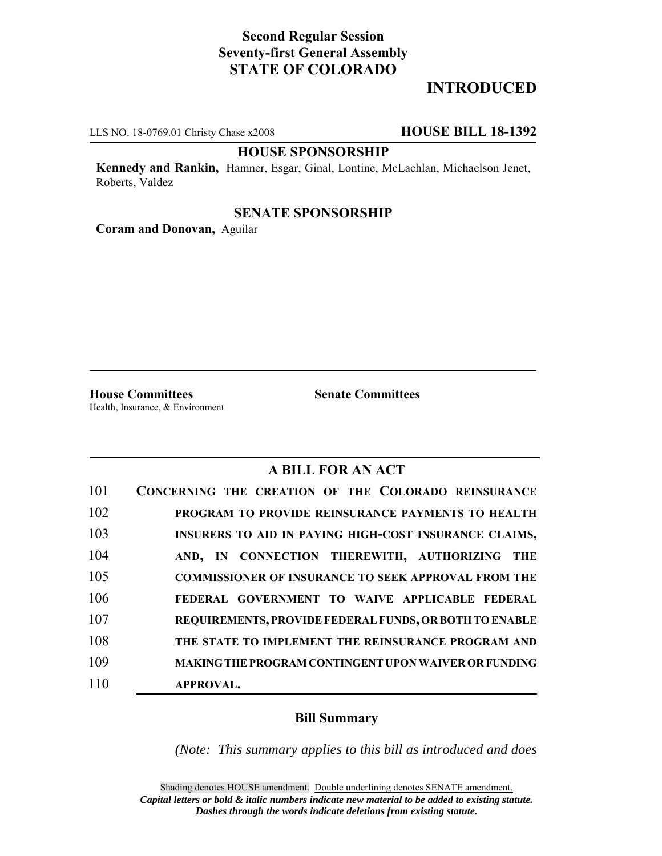# **Second Regular Session Seventy-first General Assembly STATE OF COLORADO**

# **INTRODUCED**

LLS NO. 18-0769.01 Christy Chase x2008 **HOUSE BILL 18-1392**

### **HOUSE SPONSORSHIP**

**Kennedy and Rankin,** Hamner, Esgar, Ginal, Lontine, McLachlan, Michaelson Jenet, Roberts, Valdez

#### **SENATE SPONSORSHIP**

**Coram and Donovan,** Aguilar

**House Committees Senate Committees** Health, Insurance, & Environment

## **A BILL FOR AN ACT**

| 101 | CONCERNING THE CREATION OF THE COLORADO REINSURANCE         |
|-----|-------------------------------------------------------------|
| 102 | PROGRAM TO PROVIDE REINSURANCE PAYMENTS TO HEALTH           |
| 103 | INSURERS TO AID IN PAYING HIGH-COST INSURANCE CLAIMS,       |
| 104 | AND, IN CONNECTION THEREWITH, AUTHORIZING<br>THE            |
| 105 | <b>COMMISSIONER OF INSURANCE TO SEEK APPROVAL FROM THE</b>  |
| 106 | FEDERAL GOVERNMENT TO WAIVE APPLICABLE FEDERAL              |
| 107 | REQUIREMENTS, PROVIDE FEDERAL FUNDS, OR BOTH TO ENABLE      |
| 108 | THE STATE TO IMPLEMENT THE REINSURANCE PROGRAM AND          |
| 109 | <b>MAKING THE PROGRAM CONTINGENT UPON WAIVER OR FUNDING</b> |
| 110 | <b>APPROVAL.</b>                                            |

### **Bill Summary**

*(Note: This summary applies to this bill as introduced and does*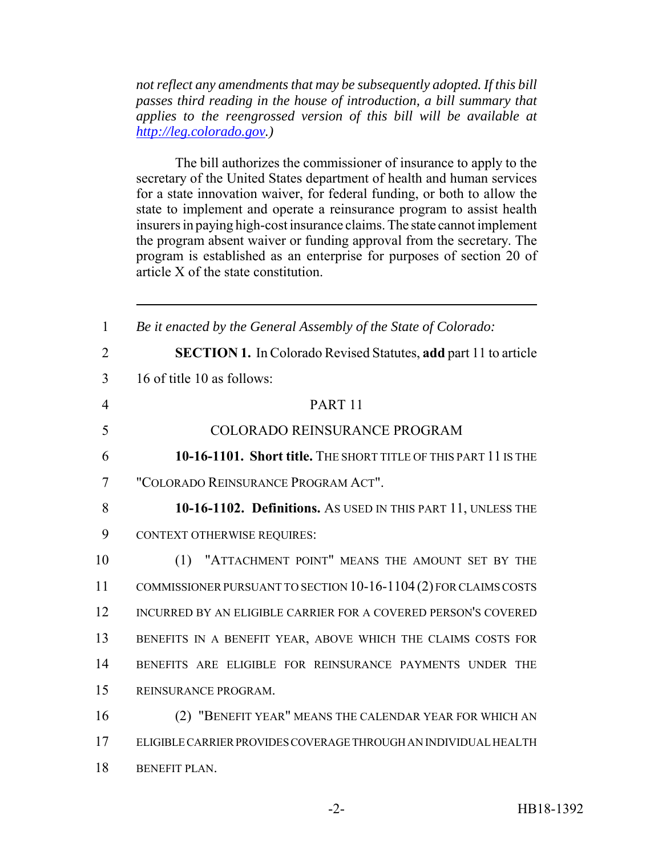*not reflect any amendments that may be subsequently adopted. If this bill passes third reading in the house of introduction, a bill summary that applies to the reengrossed version of this bill will be available at http://leg.colorado.gov.)*

The bill authorizes the commissioner of insurance to apply to the secretary of the United States department of health and human services for a state innovation waiver, for federal funding, or both to allow the state to implement and operate a reinsurance program to assist health insurers in paying high-cost insurance claims. The state cannot implement the program absent waiver or funding approval from the secretary. The program is established as an enterprise for purposes of section 20 of article X of the state constitution.

| $\mathbf{1}$   | Be it enacted by the General Assembly of the State of Colorado:        |
|----------------|------------------------------------------------------------------------|
| $\overline{2}$ | <b>SECTION 1.</b> In Colorado Revised Statutes, add part 11 to article |
| 3              | 16 of title 10 as follows:                                             |
| $\overline{4}$ | PART <sub>11</sub>                                                     |
| 5              | <b>COLORADO REINSURANCE PROGRAM</b>                                    |
| 6              | 10-16-1101. Short title. THE SHORT TITLE OF THIS PART 11 IS THE        |
| 7              | "COLORADO REINSURANCE PROGRAM ACT".                                    |
| 8              | 10-16-1102. Definitions. As USED IN THIS PART 11, UNLESS THE           |
| 9              | <b>CONTEXT OTHERWISE REQUIRES:</b>                                     |
| 10             | (1) "ATTACHMENT POINT" MEANS THE AMOUNT SET BY THE                     |
| 11             | COMMISSIONER PURSUANT TO SECTION 10-16-1104 (2) FOR CLAIMS COSTS       |
| 12             | INCURRED BY AN ELIGIBLE CARRIER FOR A COVERED PERSON'S COVERED         |
| 13             | BENEFITS IN A BENEFIT YEAR, ABOVE WHICH THE CLAIMS COSTS FOR           |
| 14             | BENEFITS ARE ELIGIBLE FOR REINSURANCE PAYMENTS UNDER THE               |
| 15             | REINSURANCE PROGRAM.                                                   |
| 16             | (2) "BENEFIT YEAR" MEANS THE CALENDAR YEAR FOR WHICH AN                |
| 17             | ELIGIBLE CARRIER PROVIDES COVERAGE THROUGH AN INDIVIDUAL HEALTH        |
| 18             | <b>BENEFIT PLAN.</b>                                                   |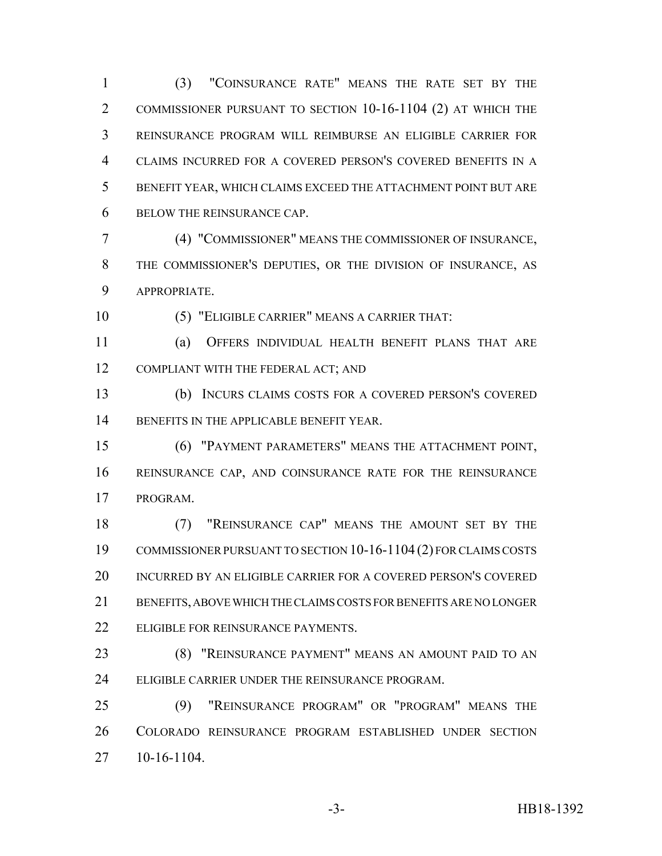(3) "COINSURANCE RATE" MEANS THE RATE SET BY THE COMMISSIONER PURSUANT TO SECTION 10-16-1104 (2) AT WHICH THE REINSURANCE PROGRAM WILL REIMBURSE AN ELIGIBLE CARRIER FOR CLAIMS INCURRED FOR A COVERED PERSON'S COVERED BENEFITS IN A BENEFIT YEAR, WHICH CLAIMS EXCEED THE ATTACHMENT POINT BUT ARE BELOW THE REINSURANCE CAP.

 (4) "COMMISSIONER" MEANS THE COMMISSIONER OF INSURANCE, THE COMMISSIONER'S DEPUTIES, OR THE DIVISION OF INSURANCE, AS APPROPRIATE.

(5) "ELIGIBLE CARRIER" MEANS A CARRIER THAT:

 (a) OFFERS INDIVIDUAL HEALTH BENEFIT PLANS THAT ARE 12 COMPLIANT WITH THE FEDERAL ACT; AND

 (b) INCURS CLAIMS COSTS FOR A COVERED PERSON'S COVERED 14 BENEFITS IN THE APPLICABLE BENEFIT YEAR.

 (6) "PAYMENT PARAMETERS" MEANS THE ATTACHMENT POINT, REINSURANCE CAP, AND COINSURANCE RATE FOR THE REINSURANCE PROGRAM.

 (7) "REINSURANCE CAP" MEANS THE AMOUNT SET BY THE COMMISSIONER PURSUANT TO SECTION 10-16-1104 (2) FOR CLAIMS COSTS INCURRED BY AN ELIGIBLE CARRIER FOR A COVERED PERSON'S COVERED BENEFITS, ABOVE WHICH THE CLAIMS COSTS FOR BENEFITS ARE NO LONGER 22 ELIGIBLE FOR REINSURANCE PAYMENTS.

 (8) "REINSURANCE PAYMENT" MEANS AN AMOUNT PAID TO AN ELIGIBLE CARRIER UNDER THE REINSURANCE PROGRAM.

 (9) "REINSURANCE PROGRAM" OR "PROGRAM" MEANS THE COLORADO REINSURANCE PROGRAM ESTABLISHED UNDER SECTION 10-16-1104.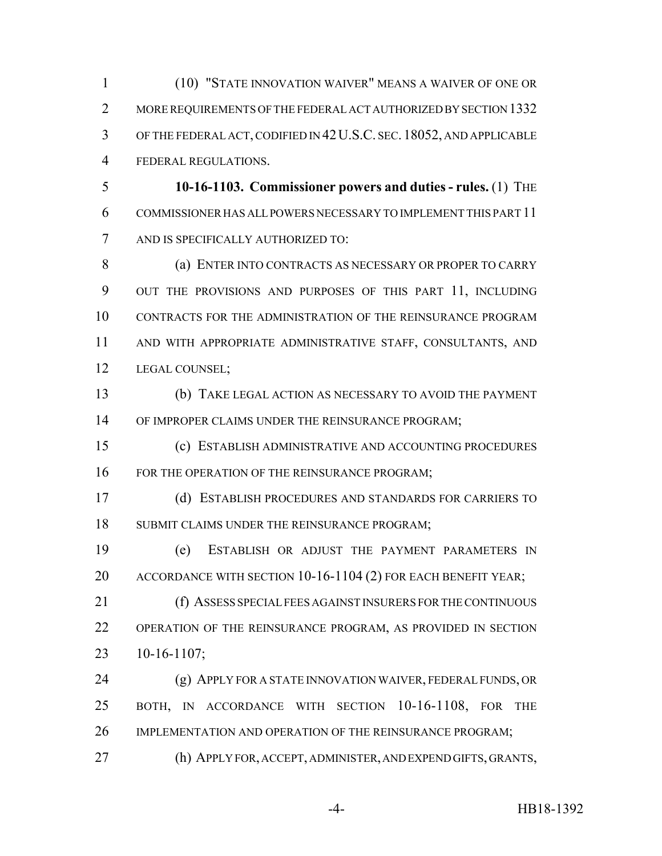(10) "STATE INNOVATION WAIVER" MEANS A WAIVER OF ONE OR 2 MORE REQUIREMENTS OF THE FEDERAL ACT AUTHORIZED BY SECTION 1332 OF THE FEDERAL ACT, CODIFIED IN 42U.S.C. SEC. 18052, AND APPLICABLE FEDERAL REGULATIONS.

 **10-16-1103. Commissioner powers and duties - rules.** (1) THE COMMISSIONER HAS ALL POWERS NECESSARY TO IMPLEMENT THIS PART 11 AND IS SPECIFICALLY AUTHORIZED TO:

8 (a) ENTER INTO CONTRACTS AS NECESSARY OR PROPER TO CARRY OUT THE PROVISIONS AND PURPOSES OF THIS PART 11, INCLUDING CONTRACTS FOR THE ADMINISTRATION OF THE REINSURANCE PROGRAM AND WITH APPROPRIATE ADMINISTRATIVE STAFF, CONSULTANTS, AND LEGAL COUNSEL;

 (b) TAKE LEGAL ACTION AS NECESSARY TO AVOID THE PAYMENT 14 OF IMPROPER CLAIMS UNDER THE REINSURANCE PROGRAM;

 (c) ESTABLISH ADMINISTRATIVE AND ACCOUNTING PROCEDURES 16 FOR THE OPERATION OF THE REINSURANCE PROGRAM;

 (d) ESTABLISH PROCEDURES AND STANDARDS FOR CARRIERS TO 18 SUBMIT CLAIMS UNDER THE REINSURANCE PROGRAM;

 (e) ESTABLISH OR ADJUST THE PAYMENT PARAMETERS IN ACCORDANCE WITH SECTION 10-16-1104 (2) FOR EACH BENEFIT YEAR;

 (f) ASSESS SPECIAL FEES AGAINST INSURERS FOR THE CONTINUOUS OPERATION OF THE REINSURANCE PROGRAM, AS PROVIDED IN SECTION 10-16-1107;

 (g) APPLY FOR A STATE INNOVATION WAIVER, FEDERAL FUNDS, OR BOTH, IN ACCORDANCE WITH SECTION 10-16-1108, FOR THE IMPLEMENTATION AND OPERATION OF THE REINSURANCE PROGRAM;

(h) APPLY FOR, ACCEPT, ADMINISTER, AND EXPEND GIFTS, GRANTS,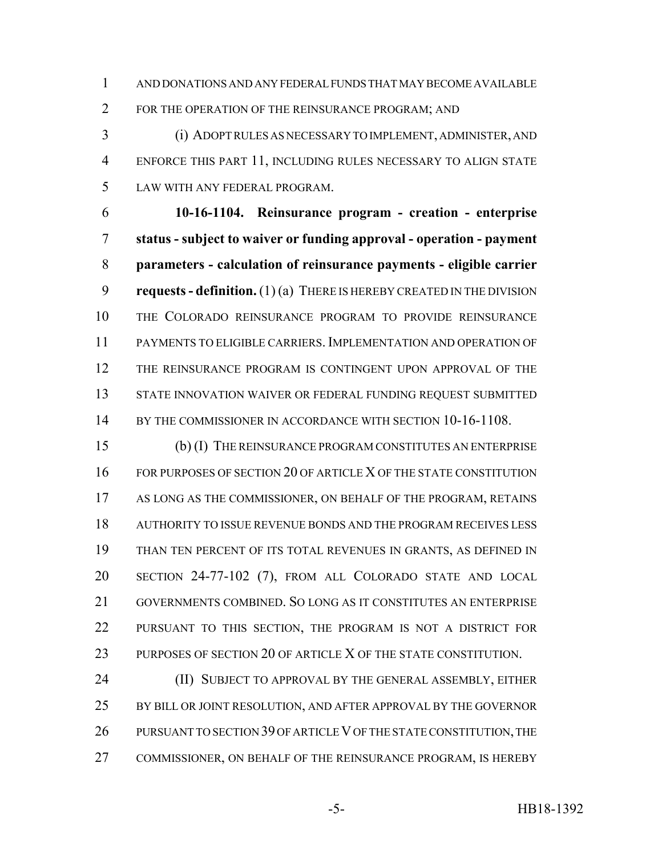AND DONATIONS AND ANY FEDERAL FUNDS THAT MAY BECOME AVAILABLE FOR THE OPERATION OF THE REINSURANCE PROGRAM; AND

 (i) ADOPT RULES AS NECESSARY TO IMPLEMENT, ADMINISTER, AND ENFORCE THIS PART 11, INCLUDING RULES NECESSARY TO ALIGN STATE LAW WITH ANY FEDERAL PROGRAM.

 **10-16-1104. Reinsurance program - creation - enterprise status - subject to waiver or funding approval - operation - payment parameters - calculation of reinsurance payments - eligible carrier requests - definition.** (1) (a) THERE IS HEREBY CREATED IN THE DIVISION THE COLORADO REINSURANCE PROGRAM TO PROVIDE REINSURANCE PAYMENTS TO ELIGIBLE CARRIERS. IMPLEMENTATION AND OPERATION OF THE REINSURANCE PROGRAM IS CONTINGENT UPON APPROVAL OF THE STATE INNOVATION WAIVER OR FEDERAL FUNDING REQUEST SUBMITTED 14 BY THE COMMISSIONER IN ACCORDANCE WITH SECTION 10-16-1108.

 (b) (I) THE REINSURANCE PROGRAM CONSTITUTES AN ENTERPRISE FOR PURPOSES OF SECTION 20 OF ARTICLE X OF THE STATE CONSTITUTION AS LONG AS THE COMMISSIONER, ON BEHALF OF THE PROGRAM, RETAINS AUTHORITY TO ISSUE REVENUE BONDS AND THE PROGRAM RECEIVES LESS THAN TEN PERCENT OF ITS TOTAL REVENUES IN GRANTS, AS DEFINED IN SECTION 24-77-102 (7), FROM ALL COLORADO STATE AND LOCAL GOVERNMENTS COMBINED. SO LONG AS IT CONSTITUTES AN ENTERPRISE PURSUANT TO THIS SECTION, THE PROGRAM IS NOT A DISTRICT FOR PURPOSES OF SECTION 20 OF ARTICLE X OF THE STATE CONSTITUTION.

**(II) SUBJECT TO APPROVAL BY THE GENERAL ASSEMBLY, EITHER** 25 BY BILL OR JOINT RESOLUTION, AND AFTER APPROVAL BY THE GOVERNOR 26 PURSUANT TO SECTION 39 OF ARTICLE V OF THE STATE CONSTITUTION, THE COMMISSIONER, ON BEHALF OF THE REINSURANCE PROGRAM, IS HEREBY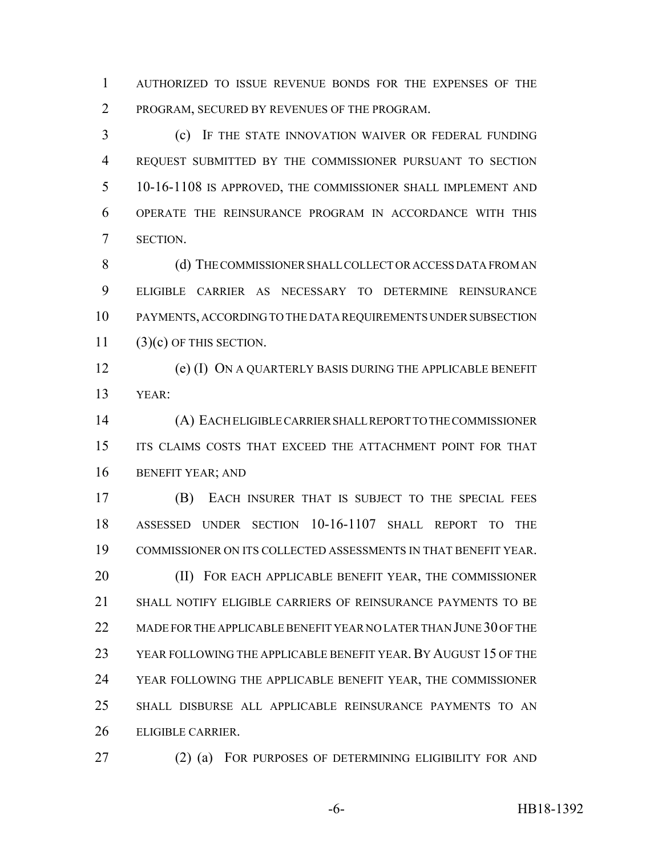AUTHORIZED TO ISSUE REVENUE BONDS FOR THE EXPENSES OF THE PROGRAM, SECURED BY REVENUES OF THE PROGRAM.

 (c) IF THE STATE INNOVATION WAIVER OR FEDERAL FUNDING REQUEST SUBMITTED BY THE COMMISSIONER PURSUANT TO SECTION 10-16-1108 IS APPROVED, THE COMMISSIONER SHALL IMPLEMENT AND OPERATE THE REINSURANCE PROGRAM IN ACCORDANCE WITH THIS SECTION.

8 (d) THE COMMISSIONER SHALL COLLECT OR ACCESS DATA FROM AN ELIGIBLE CARRIER AS NECESSARY TO DETERMINE REINSURANCE PAYMENTS, ACCORDING TO THE DATA REQUIREMENTS UNDER SUBSECTION  $(3)(c)$  OF THIS SECTION.

 (e) (I) ON A QUARTERLY BASIS DURING THE APPLICABLE BENEFIT YEAR:

 (A) EACH ELIGIBLE CARRIER SHALL REPORT TO THE COMMISSIONER ITS CLAIMS COSTS THAT EXCEED THE ATTACHMENT POINT FOR THAT BENEFIT YEAR; AND

 (B) EACH INSURER THAT IS SUBJECT TO THE SPECIAL FEES ASSESSED UNDER SECTION 10-16-1107 SHALL REPORT TO THE COMMISSIONER ON ITS COLLECTED ASSESSMENTS IN THAT BENEFIT YEAR. **(II) FOR EACH APPLICABLE BENEFIT YEAR, THE COMMISSIONER**  SHALL NOTIFY ELIGIBLE CARRIERS OF REINSURANCE PAYMENTS TO BE 22 MADE FOR THE APPLICABLE BENEFIT YEAR NO LATER THAN JUNE 30 OF THE YEAR FOLLOWING THE APPLICABLE BENEFIT YEAR.BY AUGUST 15 OF THE YEAR FOLLOWING THE APPLICABLE BENEFIT YEAR, THE COMMISSIONER SHALL DISBURSE ALL APPLICABLE REINSURANCE PAYMENTS TO AN ELIGIBLE CARRIER.

(2) (a) FOR PURPOSES OF DETERMINING ELIGIBILITY FOR AND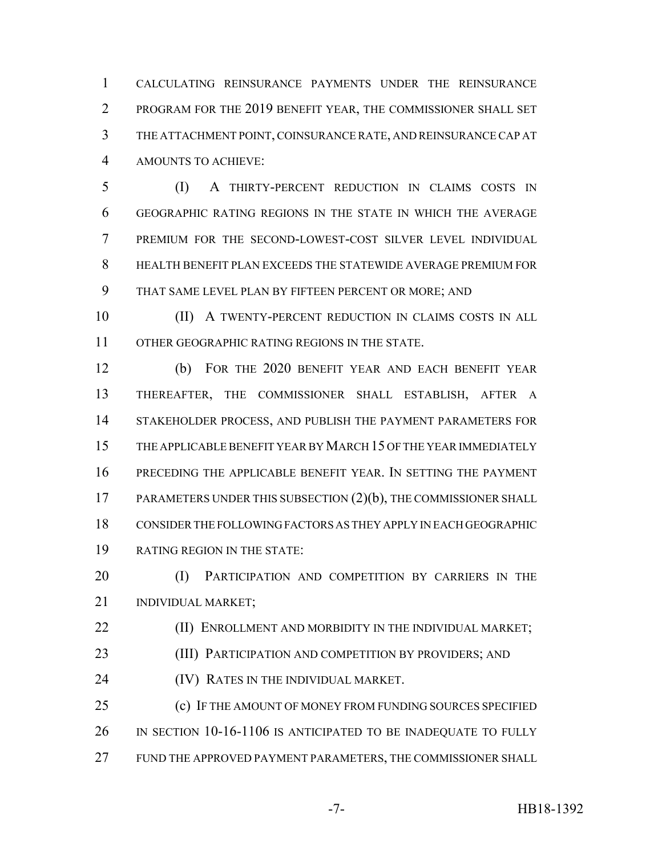CALCULATING REINSURANCE PAYMENTS UNDER THE REINSURANCE PROGRAM FOR THE 2019 BENEFIT YEAR, THE COMMISSIONER SHALL SET THE ATTACHMENT POINT, COINSURANCE RATE, AND REINSURANCE CAP AT AMOUNTS TO ACHIEVE:

 (I) A THIRTY-PERCENT REDUCTION IN CLAIMS COSTS IN GEOGRAPHIC RATING REGIONS IN THE STATE IN WHICH THE AVERAGE PREMIUM FOR THE SECOND-LOWEST-COST SILVER LEVEL INDIVIDUAL HEALTH BENEFIT PLAN EXCEEDS THE STATEWIDE AVERAGE PREMIUM FOR THAT SAME LEVEL PLAN BY FIFTEEN PERCENT OR MORE; AND

 (II) A TWENTY-PERCENT REDUCTION IN CLAIMS COSTS IN ALL OTHER GEOGRAPHIC RATING REGIONS IN THE STATE.

 (b) FOR THE 2020 BENEFIT YEAR AND EACH BENEFIT YEAR THEREAFTER, THE COMMISSIONER SHALL ESTABLISH, AFTER A STAKEHOLDER PROCESS, AND PUBLISH THE PAYMENT PARAMETERS FOR THE APPLICABLE BENEFIT YEAR BY MARCH 15 OF THE YEAR IMMEDIATELY PRECEDING THE APPLICABLE BENEFIT YEAR. IN SETTING THE PAYMENT PARAMETERS UNDER THIS SUBSECTION (2)(b), THE COMMISSIONER SHALL CONSIDER THE FOLLOWING FACTORS AS THEY APPLY IN EACH GEOGRAPHIC RATING REGION IN THE STATE:

20 (I) PARTICIPATION AND COMPETITION BY CARRIERS IN THE INDIVIDUAL MARKET;

**(II) ENROLLMENT AND MORBIDITY IN THE INDIVIDUAL MARKET;** 

23 (III) PARTICIPATION AND COMPETITION BY PROVIDERS; AND

(IV) RATES IN THE INDIVIDUAL MARKET.

 (c) IF THE AMOUNT OF MONEY FROM FUNDING SOURCES SPECIFIED IN SECTION 10-16-1106 IS ANTICIPATED TO BE INADEQUATE TO FULLY FUND THE APPROVED PAYMENT PARAMETERS, THE COMMISSIONER SHALL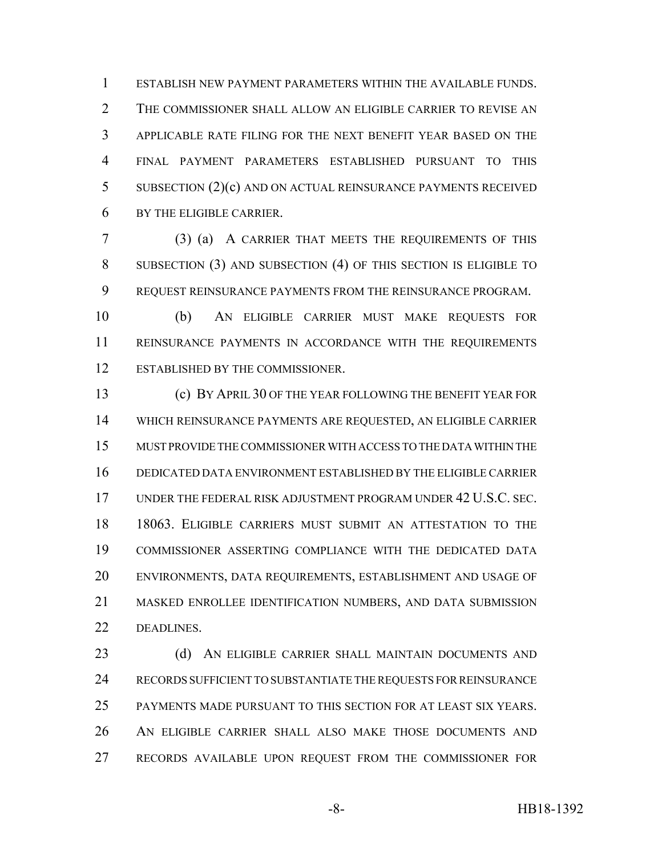ESTABLISH NEW PAYMENT PARAMETERS WITHIN THE AVAILABLE FUNDS. THE COMMISSIONER SHALL ALLOW AN ELIGIBLE CARRIER TO REVISE AN APPLICABLE RATE FILING FOR THE NEXT BENEFIT YEAR BASED ON THE FINAL PAYMENT PARAMETERS ESTABLISHED PURSUANT TO THIS SUBSECTION (2)(c) AND ON ACTUAL REINSURANCE PAYMENTS RECEIVED BY THE ELIGIBLE CARRIER.

 (3) (a) A CARRIER THAT MEETS THE REQUIREMENTS OF THIS SUBSECTION (3) AND SUBSECTION (4) OF THIS SECTION IS ELIGIBLE TO REQUEST REINSURANCE PAYMENTS FROM THE REINSURANCE PROGRAM.

 (b) AN ELIGIBLE CARRIER MUST MAKE REQUESTS FOR REINSURANCE PAYMENTS IN ACCORDANCE WITH THE REQUIREMENTS ESTABLISHED BY THE COMMISSIONER.

 (c) BY APRIL 30 OF THE YEAR FOLLOWING THE BENEFIT YEAR FOR WHICH REINSURANCE PAYMENTS ARE REQUESTED, AN ELIGIBLE CARRIER MUST PROVIDE THE COMMISSIONER WITH ACCESS TO THE DATA WITHIN THE DEDICATED DATA ENVIRONMENT ESTABLISHED BY THE ELIGIBLE CARRIER UNDER THE FEDERAL RISK ADJUSTMENT PROGRAM UNDER 42 U.S.C. SEC. 18063. ELIGIBLE CARRIERS MUST SUBMIT AN ATTESTATION TO THE COMMISSIONER ASSERTING COMPLIANCE WITH THE DEDICATED DATA ENVIRONMENTS, DATA REQUIREMENTS, ESTABLISHMENT AND USAGE OF MASKED ENROLLEE IDENTIFICATION NUMBERS, AND DATA SUBMISSION DEADLINES.

23 (d) AN ELIGIBLE CARRIER SHALL MAINTAIN DOCUMENTS AND RECORDS SUFFICIENT TO SUBSTANTIATE THE REQUESTS FOR REINSURANCE PAYMENTS MADE PURSUANT TO THIS SECTION FOR AT LEAST SIX YEARS. AN ELIGIBLE CARRIER SHALL ALSO MAKE THOSE DOCUMENTS AND RECORDS AVAILABLE UPON REQUEST FROM THE COMMISSIONER FOR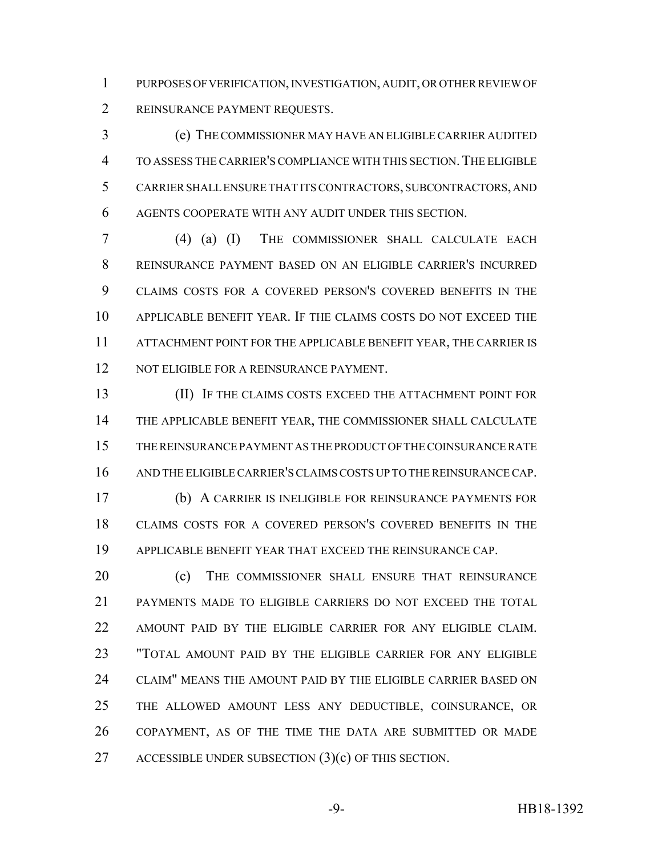PURPOSES OF VERIFICATION, INVESTIGATION, AUDIT, OR OTHER REVIEW OF REINSURANCE PAYMENT REQUESTS.

 (e) THE COMMISSIONER MAY HAVE AN ELIGIBLE CARRIER AUDITED TO ASSESS THE CARRIER'S COMPLIANCE WITH THIS SECTION.THE ELIGIBLE CARRIER SHALL ENSURE THAT ITS CONTRACTORS, SUBCONTRACTORS, AND AGENTS COOPERATE WITH ANY AUDIT UNDER THIS SECTION.

 (4) (a) (I) THE COMMISSIONER SHALL CALCULATE EACH REINSURANCE PAYMENT BASED ON AN ELIGIBLE CARRIER'S INCURRED CLAIMS COSTS FOR A COVERED PERSON'S COVERED BENEFITS IN THE APPLICABLE BENEFIT YEAR. IF THE CLAIMS COSTS DO NOT EXCEED THE ATTACHMENT POINT FOR THE APPLICABLE BENEFIT YEAR, THE CARRIER IS 12 NOT ELIGIBLE FOR A REINSURANCE PAYMENT.

 (II) IF THE CLAIMS COSTS EXCEED THE ATTACHMENT POINT FOR THE APPLICABLE BENEFIT YEAR, THE COMMISSIONER SHALL CALCULATE THE REINSURANCE PAYMENT AS THE PRODUCT OF THE COINSURANCE RATE AND THE ELIGIBLE CARRIER'S CLAIMS COSTS UP TO THE REINSURANCE CAP.

 (b) A CARRIER IS INELIGIBLE FOR REINSURANCE PAYMENTS FOR CLAIMS COSTS FOR A COVERED PERSON'S COVERED BENEFITS IN THE APPLICABLE BENEFIT YEAR THAT EXCEED THE REINSURANCE CAP.

**(c)** THE COMMISSIONER SHALL ENSURE THAT REINSURANCE PAYMENTS MADE TO ELIGIBLE CARRIERS DO NOT EXCEED THE TOTAL AMOUNT PAID BY THE ELIGIBLE CARRIER FOR ANY ELIGIBLE CLAIM. "TOTAL AMOUNT PAID BY THE ELIGIBLE CARRIER FOR ANY ELIGIBLE CLAIM" MEANS THE AMOUNT PAID BY THE ELIGIBLE CARRIER BASED ON THE ALLOWED AMOUNT LESS ANY DEDUCTIBLE, COINSURANCE, OR COPAYMENT, AS OF THE TIME THE DATA ARE SUBMITTED OR MADE 27 ACCESSIBLE UNDER SUBSECTION (3)(c) OF THIS SECTION.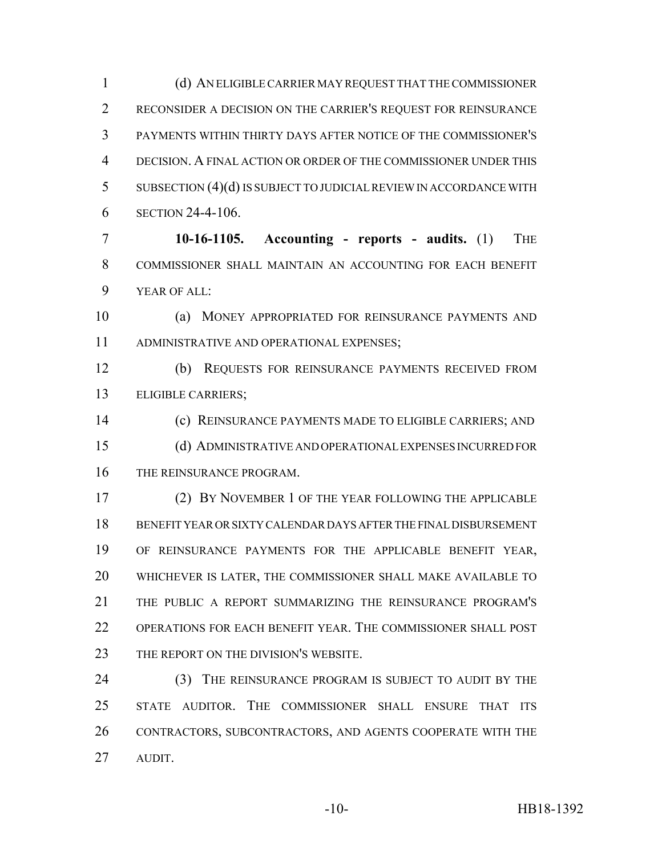(d) AN ELIGIBLE CARRIER MAY REQUEST THAT THE COMMISSIONER RECONSIDER A DECISION ON THE CARRIER'S REQUEST FOR REINSURANCE PAYMENTS WITHIN THIRTY DAYS AFTER NOTICE OF THE COMMISSIONER'S DECISION. A FINAL ACTION OR ORDER OF THE COMMISSIONER UNDER THIS SUBSECTION (4)(d) IS SUBJECT TO JUDICIAL REVIEW IN ACCORDANCE WITH SECTION 24-4-106.

 **10-16-1105. Accounting - reports - audits.** (1) THE COMMISSIONER SHALL MAINTAIN AN ACCOUNTING FOR EACH BENEFIT YEAR OF ALL:

 (a) MONEY APPROPRIATED FOR REINSURANCE PAYMENTS AND ADMINISTRATIVE AND OPERATIONAL EXPENSES;

 (b) REQUESTS FOR REINSURANCE PAYMENTS RECEIVED FROM ELIGIBLE CARRIERS;

 (c) REINSURANCE PAYMENTS MADE TO ELIGIBLE CARRIERS; AND (d) ADMINISTRATIVE AND OPERATIONAL EXPENSES INCURRED FOR THE REINSURANCE PROGRAM.

 (2) BY NOVEMBER 1 OF THE YEAR FOLLOWING THE APPLICABLE BENEFIT YEAR OR SIXTY CALENDAR DAYS AFTER THE FINAL DISBURSEMENT OF REINSURANCE PAYMENTS FOR THE APPLICABLE BENEFIT YEAR, WHICHEVER IS LATER, THE COMMISSIONER SHALL MAKE AVAILABLE TO THE PUBLIC A REPORT SUMMARIZING THE REINSURANCE PROGRAM'S OPERATIONS FOR EACH BENEFIT YEAR. THE COMMISSIONER SHALL POST 23 THE REPORT ON THE DIVISION'S WEBSITE.

24 (3) THE REINSURANCE PROGRAM IS SUBJECT TO AUDIT BY THE STATE AUDITOR. THE COMMISSIONER SHALL ENSURE THAT ITS CONTRACTORS, SUBCONTRACTORS, AND AGENTS COOPERATE WITH THE AUDIT.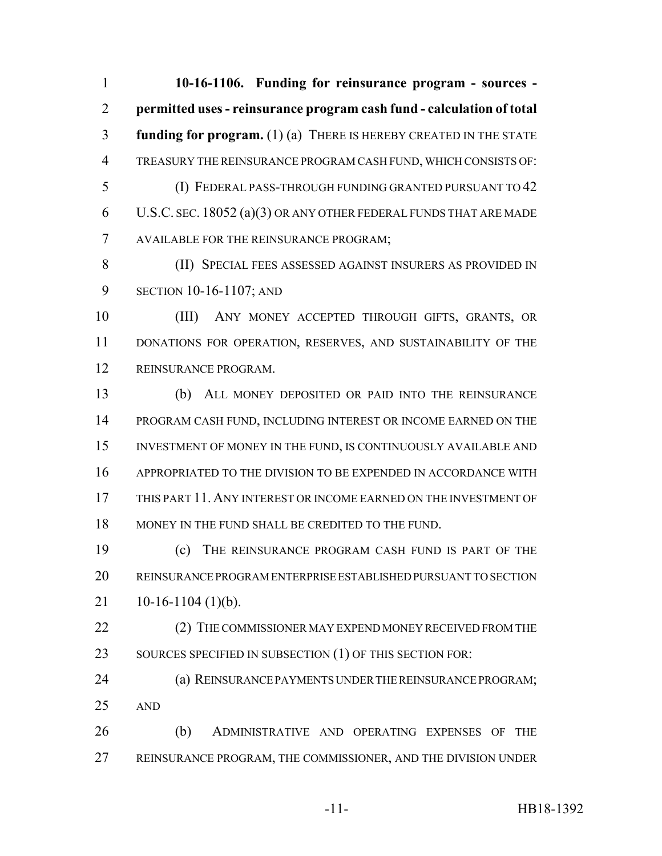**10-16-1106. Funding for reinsurance program - sources - permitted uses - reinsurance program cash fund - calculation of total funding for program.** (1) (a) THERE IS HEREBY CREATED IN THE STATE TREASURY THE REINSURANCE PROGRAM CASH FUND, WHICH CONSISTS OF: (I) FEDERAL PASS-THROUGH FUNDING GRANTED PURSUANT TO 42 U.S.C. SEC. 18052 (a)(3) OR ANY OTHER FEDERAL FUNDS THAT ARE MADE AVAILABLE FOR THE REINSURANCE PROGRAM; (II) SPECIAL FEES ASSESSED AGAINST INSURERS AS PROVIDED IN SECTION 10-16-1107; AND (III) ANY MONEY ACCEPTED THROUGH GIFTS, GRANTS, OR DONATIONS FOR OPERATION, RESERVES, AND SUSTAINABILITY OF THE REINSURANCE PROGRAM. (b) ALL MONEY DEPOSITED OR PAID INTO THE REINSURANCE PROGRAM CASH FUND, INCLUDING INTEREST OR INCOME EARNED ON THE INVESTMENT OF MONEY IN THE FUND, IS CONTINUOUSLY AVAILABLE AND

 THIS PART 11. ANY INTEREST OR INCOME EARNED ON THE INVESTMENT OF MONEY IN THE FUND SHALL BE CREDITED TO THE FUND.

APPROPRIATED TO THE DIVISION TO BE EXPENDED IN ACCORDANCE WITH

 (c) THE REINSURANCE PROGRAM CASH FUND IS PART OF THE REINSURANCE PROGRAM ENTERPRISE ESTABLISHED PURSUANT TO SECTION 21 10-16-1104 (1)(b).

22 (2) THE COMMISSIONER MAY EXPEND MONEY RECEIVED FROM THE 23 SOURCES SPECIFIED IN SUBSECTION (1) OF THIS SECTION FOR:

 (a) REINSURANCE PAYMENTS UNDER THE REINSURANCE PROGRAM; AND

 (b) ADMINISTRATIVE AND OPERATING EXPENSES OF THE REINSURANCE PROGRAM, THE COMMISSIONER, AND THE DIVISION UNDER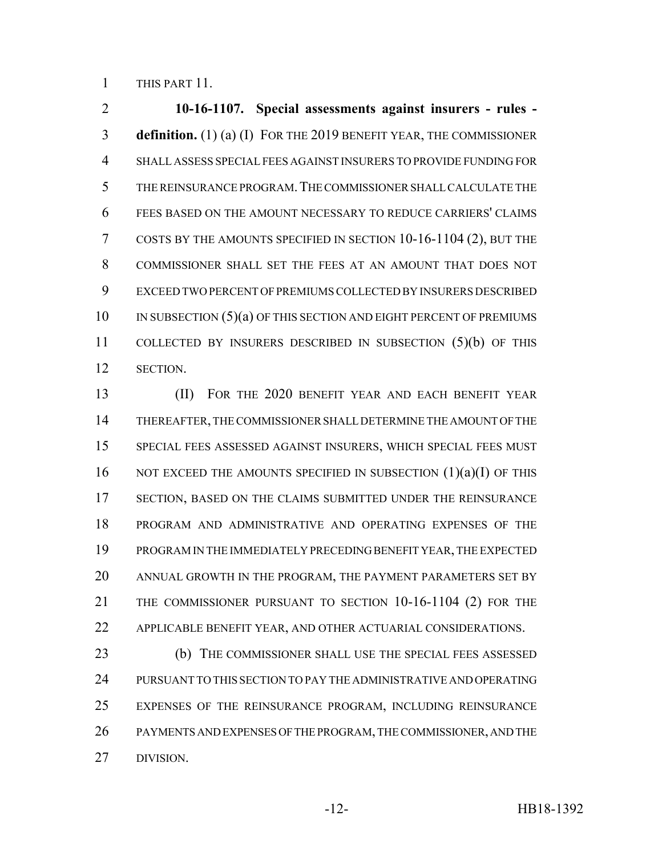THIS PART 11.

 **10-16-1107. Special assessments against insurers - rules - definition.** (1) (a) (I) FOR THE 2019 BENEFIT YEAR, THE COMMISSIONER SHALL ASSESS SPECIAL FEES AGAINST INSURERS TO PROVIDE FUNDING FOR THE REINSURANCE PROGRAM.THE COMMISSIONER SHALL CALCULATE THE FEES BASED ON THE AMOUNT NECESSARY TO REDUCE CARRIERS' CLAIMS COSTS BY THE AMOUNTS SPECIFIED IN SECTION 10-16-1104 (2), BUT THE COMMISSIONER SHALL SET THE FEES AT AN AMOUNT THAT DOES NOT EXCEED TWO PERCENT OF PREMIUMS COLLECTED BY INSURERS DESCRIBED 10 IN SUBSECTION (5)(a) OF THIS SECTION AND EIGHT PERCENT OF PREMIUMS COLLECTED BY INSURERS DESCRIBED IN SUBSECTION (5)(b) OF THIS SECTION.

 (II) FOR THE 2020 BENEFIT YEAR AND EACH BENEFIT YEAR THEREAFTER, THE COMMISSIONER SHALL DETERMINE THE AMOUNT OF THE SPECIAL FEES ASSESSED AGAINST INSURERS, WHICH SPECIAL FEES MUST 16 NOT EXCEED THE AMOUNTS SPECIFIED IN SUBSECTION  $(1)(a)(I)$  OF THIS 17 SECTION, BASED ON THE CLAIMS SUBMITTED UNDER THE REINSURANCE PROGRAM AND ADMINISTRATIVE AND OPERATING EXPENSES OF THE PROGRAM IN THE IMMEDIATELY PRECEDING BENEFIT YEAR, THE EXPECTED ANNUAL GROWTH IN THE PROGRAM, THE PAYMENT PARAMETERS SET BY THE COMMISSIONER PURSUANT TO SECTION 10-16-1104 (2) FOR THE APPLICABLE BENEFIT YEAR, AND OTHER ACTUARIAL CONSIDERATIONS.

 (b) THE COMMISSIONER SHALL USE THE SPECIAL FEES ASSESSED PURSUANT TO THIS SECTION TO PAY THE ADMINISTRATIVE AND OPERATING EXPENSES OF THE REINSURANCE PROGRAM, INCLUDING REINSURANCE PAYMENTS AND EXPENSES OF THE PROGRAM, THE COMMISSIONER, AND THE DIVISION.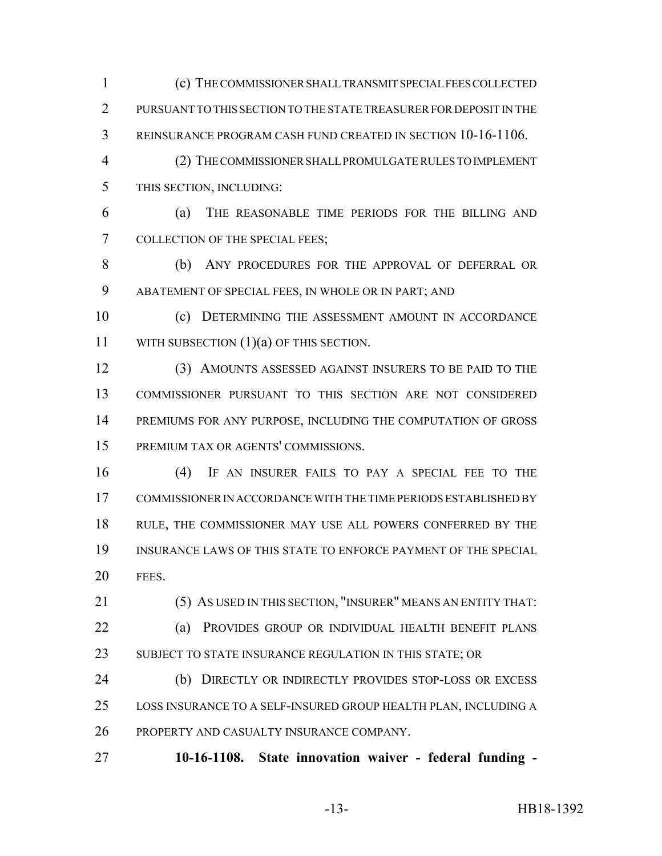(c) THE COMMISSIONER SHALL TRANSMIT SPECIAL FEES COLLECTED 2 PURSUANT TO THIS SECTION TO THE STATE TREASURER FOR DEPOSIT IN THE REINSURANCE PROGRAM CASH FUND CREATED IN SECTION 10-16-1106.

 (2) THE COMMISSIONER SHALL PROMULGATE RULES TO IMPLEMENT THIS SECTION, INCLUDING:

 (a) THE REASONABLE TIME PERIODS FOR THE BILLING AND COLLECTION OF THE SPECIAL FEES;

 (b) ANY PROCEDURES FOR THE APPROVAL OF DEFERRAL OR ABATEMENT OF SPECIAL FEES, IN WHOLE OR IN PART; AND

 (c) DETERMINING THE ASSESSMENT AMOUNT IN ACCORDANCE 11 WITH SUBSECTION (1)(a) OF THIS SECTION.

 (3) AMOUNTS ASSESSED AGAINST INSURERS TO BE PAID TO THE COMMISSIONER PURSUANT TO THIS SECTION ARE NOT CONSIDERED 14 PREMIUMS FOR ANY PURPOSE, INCLUDING THE COMPUTATION OF GROSS PREMIUM TAX OR AGENTS' COMMISSIONS.

 (4) IF AN INSURER FAILS TO PAY A SPECIAL FEE TO THE COMMISSIONER IN ACCORDANCE WITH THE TIME PERIODS ESTABLISHED BY RULE, THE COMMISSIONER MAY USE ALL POWERS CONFERRED BY THE INSURANCE LAWS OF THIS STATE TO ENFORCE PAYMENT OF THE SPECIAL FEES.

 (5) AS USED IN THIS SECTION, "INSURER" MEANS AN ENTITY THAT: (a) PROVIDES GROUP OR INDIVIDUAL HEALTH BENEFIT PLANS 23 SUBJECT TO STATE INSURANCE REGULATION IN THIS STATE; OR

 (b) DIRECTLY OR INDIRECTLY PROVIDES STOP-LOSS OR EXCESS LOSS INSURANCE TO A SELF-INSURED GROUP HEALTH PLAN, INCLUDING A PROPERTY AND CASUALTY INSURANCE COMPANY.

**10-16-1108. State innovation waiver - federal funding -**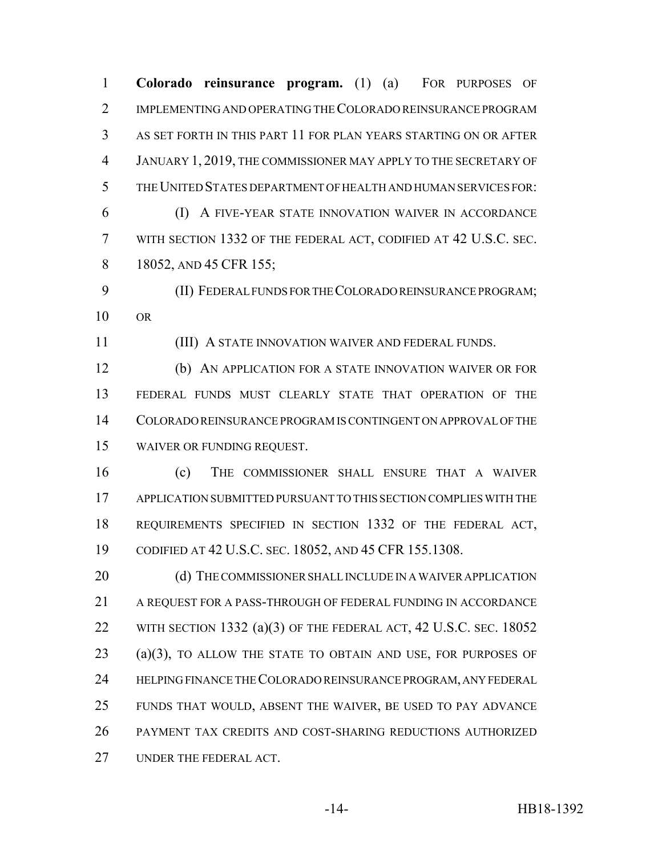**Colorado reinsurance program.** (1) (a) FOR PURPOSES OF IMPLEMENTING AND OPERATING THE COLORADO REINSURANCE PROGRAM AS SET FORTH IN THIS PART 11 FOR PLAN YEARS STARTING ON OR AFTER JANUARY 1, 2019, THE COMMISSIONER MAY APPLY TO THE SECRETARY OF THE UNITED STATES DEPARTMENT OF HEALTH AND HUMAN SERVICES FOR: (I) A FIVE-YEAR STATE INNOVATION WAIVER IN ACCORDANCE WITH SECTION 1332 OF THE FEDERAL ACT, CODIFIED AT 42 U.S.C. SEC.

8 18052, AND 45 CFR 155;

 (II) FEDERAL FUNDS FOR THE COLORADO REINSURANCE PROGRAM; OR

(III) A STATE INNOVATION WAIVER AND FEDERAL FUNDS.

 (b) AN APPLICATION FOR A STATE INNOVATION WAIVER OR FOR FEDERAL FUNDS MUST CLEARLY STATE THAT OPERATION OF THE COLORADO REINSURANCE PROGRAM IS CONTINGENT ON APPROVAL OF THE WAIVER OR FUNDING REQUEST.

 (c) THE COMMISSIONER SHALL ENSURE THAT A WAIVER APPLICATION SUBMITTED PURSUANT TO THIS SECTION COMPLIES WITH THE REQUIREMENTS SPECIFIED IN SECTION 1332 OF THE FEDERAL ACT, CODIFIED AT 42 U.S.C. SEC. 18052, AND 45 CFR 155.1308.

20 (d) THE COMMISSIONER SHALL INCLUDE IN A WAIVER APPLICATION A REQUEST FOR A PASS-THROUGH OF FEDERAL FUNDING IN ACCORDANCE 22 WITH SECTION 1332 (a)(3) OF THE FEDERAL ACT, 42 U.S.C. SEC. 18052 (a)(3), TO ALLOW THE STATE TO OBTAIN AND USE, FOR PURPOSES OF HELPING FINANCE THE COLORADO REINSURANCE PROGRAM, ANY FEDERAL FUNDS THAT WOULD, ABSENT THE WAIVER, BE USED TO PAY ADVANCE PAYMENT TAX CREDITS AND COST-SHARING REDUCTIONS AUTHORIZED UNDER THE FEDERAL ACT.